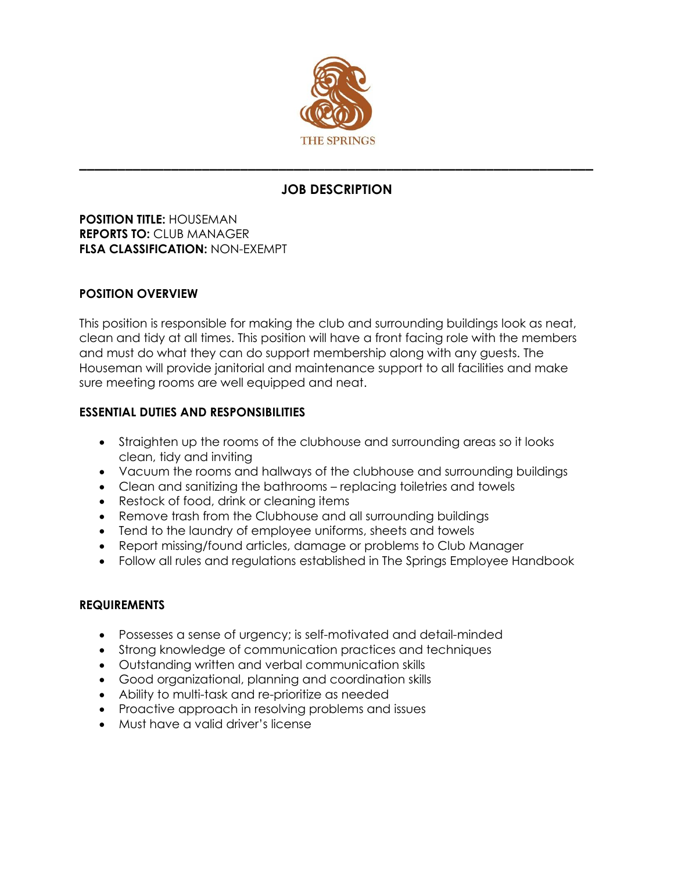

# **JOB DESCRIPTION**

**\_\_\_\_\_\_\_\_\_\_\_\_\_\_\_\_\_\_\_\_\_\_\_\_\_\_\_\_\_\_\_\_\_\_\_\_\_\_\_\_\_\_\_\_\_\_\_\_\_\_\_\_\_\_\_\_\_\_\_\_\_\_\_\_\_\_\_**

**POSITION TITLE:** HOUSEMAN **REPORTS TO:** CLUB MANAGER **FLSA CLASSIFICATION:** NON-EXEMPT

## **POSITION OVERVIEW**

This position is responsible for making the club and surrounding buildings look as neat, clean and tidy at all times. This position will have a front facing role with the members and must do what they can do support membership along with any guests. The Houseman will provide janitorial and maintenance support to all facilities and make sure meeting rooms are well equipped and neat.

## **ESSENTIAL DUTIES AND RESPONSIBILITIES**

- Straighten up the rooms of the clubhouse and surrounding areas so it looks clean, tidy and inviting
- Vacuum the rooms and hallways of the clubhouse and surrounding buildings
- Clean and sanitizing the bathrooms replacing toiletries and towels
- Restock of food, drink or cleaning items
- Remove trash from the Clubhouse and all surrounding buildings
- Tend to the laundry of employee uniforms, sheets and towels
- Report missing/found articles, damage or problems to Club Manager
- Follow all rules and regulations established in The Springs Employee Handbook

## **REQUIREMENTS**

- Possesses a sense of urgency; is self-motivated and detail-minded
- Strong knowledge of communication practices and techniques
- Outstanding written and verbal communication skills
- Good organizational, planning and coordination skills
- Ability to multi-task and re-prioritize as needed
- Proactive approach in resolving problems and issues
- Must have a valid driver's license